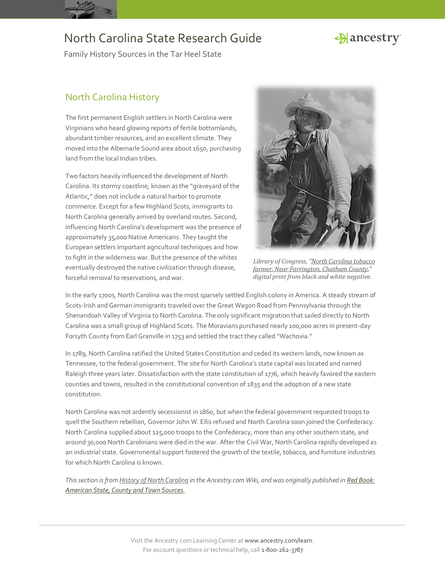

# Hancestry

Family History Sources in the Tar Heel State

## North Carolina History

The first permanent English settlers in North Carolina were Virginians who heard glowing reports of fertile bottomlands, abundant timber resources, and an excellent climate. They moved into the Albemarle Sound area about 1650, purchasing land from the local Indian tribes.

Two factors heavily influenced the development of North Carolina. Its stormy coastline, known as the "graveyard of the Atlantic," does not include a natural harbor to promote commerce. Except for a few Highland Scots, immigrants to North Carolina generally arrived by overland routes. Second, influencing North Carolina's development was the presence of approximately 35,000 Native Americans. They taught the European settlers important agricultural techniques and how to fight in the wilderness war. But the presence of the whites eventually destroyed the native civilization through disease, forceful removal to reservations, and war.



*Library of Congress, "[North Carolina tobacco](http://hdl.loc.gov/loc.pnp/fsa.8c02541)  [farmer. Near Farrington, Chatham County,](http://hdl.loc.gov/loc.pnp/fsa.8c02541)" digital print from black and white negative.*

In the early 1700s, North Carolina was the most sparsely settled English colony in America. A steady stream of Scots-Irish and German immigrants traveled over the Great Wagon Road from Pennsylvania through the Shenandoah Valley of Virginia to North Carolina. The only significant migration that sailed directly to North Carolina was a small group of Highland Scots. The Moravians purchased nearly 100,000 acres in present-day Forsyth County from Earl Granville in 1753 and settled the tract they called "Wachovia."

In 1789, North Carolina ratified the United States Constitution and ceded its western lands, now known as Tennessee, to the federal government. The site for North Carolina's state capital was located and named Raleigh three years later. Dissatisfaction with the state constitution of 1776, which heavily favored the eastern counties and towns, resulted in the constitutional convention of 1835 and the adoption of a new state constitution.

North Carolina was not ardently secessionist in 1860, but when the federal government requested troops to quell the Southern rebellion, Governor John W. Ellis refused and North Carolina soon joined the Confederacy. North Carolina supplied about 125,000 troops to the Confederacy, more than any other southern state, and around 30,000 North Carolinians were died in the war. After the Civil War, North Carolina rapidly developed as an industrial state. Governmental support fostered the growth of the textile, tobacco, and furniture industries for which North Carolina is known.

*This section is fro[m History of North Carolina](http://www.ancestry.com/wiki/index.php?title=History_of_North_Carolina) in the Ancestry.com Wiki, and was originally published i[n Red Book:](http://bit.ly/vzy0vW)  [American State, County and Town Sources.](http://bit.ly/vzy0vW)*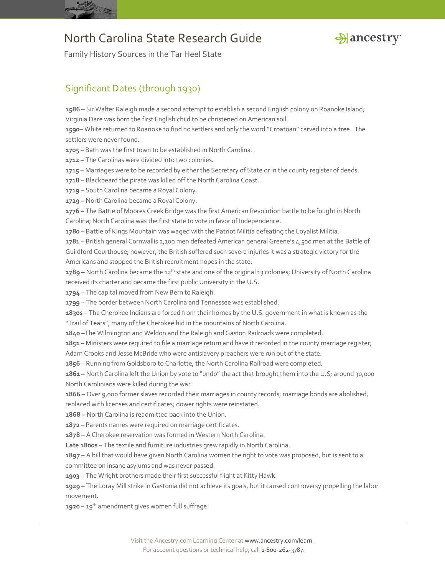



Family History Sources in the Tar Heel State

### Significant Dates (through 1930)

**1586 –** Sir Walter Raleigh made a second attempt to establish a second English colony on Roanoke Island; Virginia Dare was born the first English child to be christened on American soil.

**1590**– White returned to Roanoke to find no settlers and only the word "Croatoan" carved into a tree. The settlers were never found.

**1705** – Bath was the first town to be established in North Carolina.

**1712 –** The Carolinas were divided into two colonies.

**1715** – Marriages were to be recorded by either the Secretary of State or in the county register of deeds.

**1718** – Blackbeard the pirate was killed off the North Carolina Coast.

**1719** – South Carolina became a Royal Colony.

**1729 –** North Carolina became a Royal Colony.

**1776** – The Battle of Moores Creek Bridge was the first American Revolution battle to be fought in North Carolina; North Carolina was the first state to vote in favor of Independence.

**1780 –** Battle of Kings Mountain was waged with the Patriot Militia defeating the Loyalist Militia.

**1781** – British general Cornwallis 2,100 men defeated American general Greene's 4,500 men at the Battle of Guildford Courthouse; however, the British suffered such severe injuries it was a strategic victory for the Americans and stopped the British recruitment hopes in the state.

**1789 –** North Carolina became the 12th state and one of the original 13 colonies; University of North Carolina received its charter and became the first public University in the U.S.

**1794** – The capital moved from New Bern to Raleigh.

**1799** – The border between North Carolina and Tennessee was established.

**1830s** – The Cherokee Indians are forced from their homes by the U.S. government in what is known as the "Trail of Tears"; many of the Cherokee hid in the mountains of North Carolina.

**1840** –The Wilmington and Weldon and the Raleigh and Gaston Railroads were completed.

**1851** – Ministers were required to file a marriage return and have it recorded in the county marriage register;

Adam Crooks and Jesse McBride who were antislavery preachers were run out of the state.

**1856** – Running from Goldsboro to Charlotte, the North Carolina Railroad were completed.

**1861 –** North Carolina left the Union by vote to "undo" the act that brought them into the U.S; around 30,000 North Carolinians were killed during the war.

**1866** – Over 9,000 former slaves recorded their marriages in county records; marriage bonds are abolished,

replaced with licenses and certificates; dower rights were reinstated.

**1868 –** North Carolina is readmitted back into the Union.

**1872** – Parents names were required on marriage certificates.

**1878** – A Cherokee reservation was formed in Western North Carolina.

**Late 1800s** – The textile and furniture industries grew rapidly in North Carolina.

**1897** – A bill that would have given North Carolina women the right to vote was proposed, but is sent to a committee on insane asylums and was never passed.

**1903** – The Wright brothers made their first successful flight at Kitty Hawk.

**1929** – The Loray Mill strike in Gastonia did not achieve its goals, but it caused controversy propelling the labor movement.

**1920 –** 19th amendment gives women full suffrage.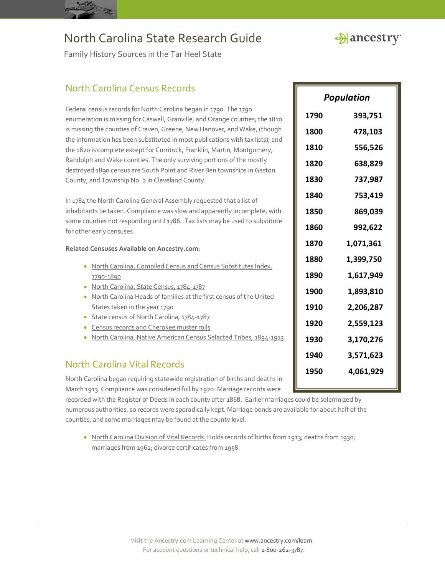Hancestry

Family History Sources in the Tar Heel State

### North Carolina Census Records

Federal census records for North Carolina began in 1790. The 1790 enumeration is missing for Caswell, Granville, and Orange counties; the 1810 is missing the counties of Craven, Greene, New Hanover, and Wake, (though the information has been substituted in most publications with tax lists); and the 1820 is complete except for Currituck, Franklin, Martin, Montgomery, Randolph and Wake counties. The only surviving portions of the mostly destroyed 1890 census are South Point and River Ben townships in Gaston County, and Township No. 2 in Cleveland County.

In 1784 the North Carolina General Assembly requested that a list of inhabitants be taken. Compliance was slow and apparently incomplete, with some counties not responding until 1786. Tax lists may be used to substitute for other early censuses.

**Related Censuses Available on Ancestry.com:**

- North Carolina, Compiled Census and Census Substitutes Index, [1790-1890](http://search.ancestry.com/search/db.aspx?dbid=3566)
- [North Carolina, State Census, 1784-1787](http://search.ancestry.com/search/db.aspx?dbid=3005)
- North Carolina Heads of families at the first census of the United States taken in the year 1790
- [State census of North Carolina, 1784-1787](http://search.ancestry.com/search/db.aspx?dbid=10169)
- [Census records and Cherokee muster rolls](http://search.ancestry.com/search/db.aspx?dbid=26356)
- [North Carolina, Native American Census Selected Tribes, 1894-1913](http://search.ancestry.com/search/db.aspx?dbid=1692)

### North Carolina Vital Records

North Carolina began requiring statewide registration of births and deaths in March 1913. Compliance was considered full by 1920. Marriage records were

recorded with the Register of Deeds in each county after 1868. Earlier marriages could be solemnized by **1970 3,641,306** numerous authorities, so records were sporadically kept. Marriage bonds are available for about half of the counties, and some marriages may be found at the county level.

**[North Carolina Division of Vital Records:](http://vitalrecords.nc.gov/vitalrecords/)** Holds records of births from 1913; deaths from 1930; marriages from 1962; divorce certificates from 1958.

| Population |           |
|------------|-----------|
| 1790       | 393,751   |
| 1800       | 478,103   |
| 1810       | 556,526   |
| 1820       | 638,829   |
| 1830       | 737,987   |
| 1840       | 753,419   |
| 1850       | 869,039   |
| 1860       | 992,622   |
| 1870       | 1,071,361 |
| 1880       | 1,399,750 |
| 1890       | 1,617,949 |
| 1900       | 1,893,810 |
| 1910       | 2,206,287 |
| 1920       | 2,559,123 |
| 1930       | 3,170,276 |
| 1940       | 3,571,623 |
| 1950       | 4,061,929 |
|            |           |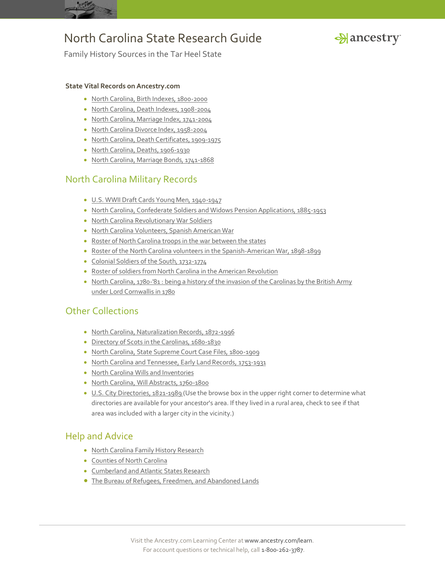



Family History Sources in the Tar Heel State

### **State Vital Records on Ancestry.com**

- [North Carolina, Birth Indexes, 1800-2000](http://search.ancestry.com/search/db.aspx?dbid=8783)
- [North Carolina, Death Indexes, 1908-2004](http://search.ancestry.com/search/db.aspx?dbid=8908)
- [North Carolina, Marriage Index, 1741-2004](http://search.ancestry.com/search/db.aspx?dbid=8909)
- [North Carolina Divorce Index, 1958-2004](http://search.ancestry.com/search/db.aspx?dbid=1115)
- [North Carolina, Death Certificates, 1909-1975](http://search.ancestry.com/search/db.aspx?dbid=1121)
- [North Carolina, Deaths, 1906-1930](http://search.ancestry.com/search/db.aspx?dbid=60090)
- [North Carolina, Marriage Bonds, 1741-1868](http://search.ancestry.com/search/db.aspx?dbid=4802)

### North Carolina Military Records

- [U.S. WWII Draft Cards Young Men, 1940-1947](http://search.ancestry.com/search/db.aspx?dbid=2238)
- [North Carolina, Confederate Soldiers and Widows Pension Applications, 1885-1953](http://search.ancestry.com/search/db.aspx?dbid=60089)
- [North Carolina Revolutionary War Soldiers](http://search.ancestry.com/search/db.aspx?dbid=3185)
- [North Carolina Volunteers, Spanish American War](http://search.ancestry.com/search/db.aspx?dbid=4136)
- [Roster of North Carolina troops in the war between the states](http://search.ancestry.com/search/db.aspx?dbid=10165)
- [Roster of the North Carolina volunteers in the Spanish-American War, 1898-1899](http://search.ancestry.com/search/db.aspx?dbid=10167)
- [Colonial Soldiers of the South, 1732-1774](http://search.ancestry.com/search/db.aspx?dbid=49108)
- [Roster of soldiers from North Carolina in the American Revolution](http://search.ancestry.com/search/db.aspx?dbid=10162)
- North Carolina, 1780-'81 : being a history of the invasion of the Carolinas by the British Army under Lord Cornwallis in 1780

### Other Collections

- [North Carolina, Naturalization Records, 1872-1996](http://search.ancestry.com/search/db.aspx?dbid=2503)
- [Directory of Scots in the Carolinas, 1680-1830](http://search.ancestry.com/search/db.aspx?dbid=48518)
- [North Carolina, State Supreme Court Case Files, 1800-1909](http://search.ancestry.com/search/db.aspx?dbid=60091)
- [North Carolina and Tennessee, Early Land Records, 1753-1931](http://search.ancestry.com/search/db.aspx?dbid=2882)
- [North Carolina Wills and Inventories](http://search.ancestry.com/search/db.aspx?dbid=6223)
- [North Carolina, Will Abstracts, 1760-1800](http://search.ancestry.com/search/db.aspx?dbid=3945)
- [U.S. City Directories, 1821-1989](http://search.ancestry.com/search/db.aspx?dbid=2469) (Use the browse box in the upper right corner to determine what directories are available for your ancestor's area. If they lived in a rural area, check to see if that area was included with a larger city in the vicinity.)

### Help and Advice

- [North Carolina Family History Research](http://www.ancestry.com/wiki/index.php?title=North_Carolina_Family_History_Research)
- [Counties of North Carolina](http://www.ancestry.com/wiki/index.php?title=Counties_of_North_Carolina)
- **[Cumberland and Atlantic States Research](http://learn.ancestry.com/LearnMore/Article.aspx?id=7230)**
- [The Bureau of Refugees, Freedmen, and Abandoned Lands](http://learn.ancestry.com/LearnMore/Article.aspx?id=9617)